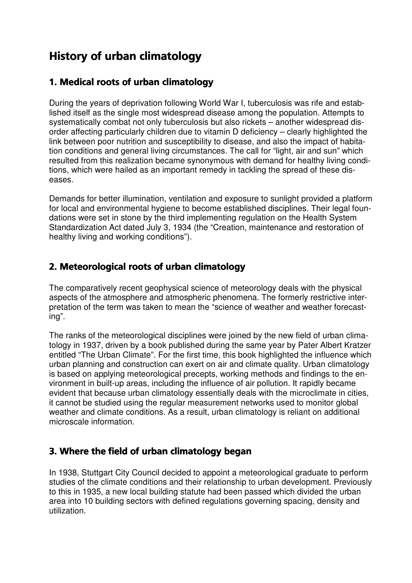# History of urban climatology

### 1. Medical roots of urban climatology

During the years of deprivation following World War I, tuberculosis was rife and established itself as the single most widespread disease among the population. Attempts to systematically combat not only tuberculosis but also rickets – another widespread disorder affecting particularly children due to vitamin D deficiency – clearly highlighted the link between poor nutrition and susceptibility to disease, and also the impact of habitation conditions and general living circumstances. The call for "light, air and sun" which resulted from this realization became synonymous with demand for healthy living conditions, which were hailed as an important remedy in tackling the spread of these diseases.

Demands for better illumination, ventilation and exposure to sunlight provided a platform for local and environmental hygiene to become established disciplines. Their legal foundations were set in stone by the third implementing regulation on the Health System Standardization Act dated July 3, 1934 (the "Creation, maintenance and restoration of healthy living and working conditions").

## 2. Meteorological roots of urban climatology

The comparatively recent geophysical science of meteorology deals with the physical aspects of the atmosphere and atmospheric phenomena. The formerly restrictive interpretation of the term was taken to mean the "science of weather and weather forecasting".

The ranks of the meteorological disciplines were joined by the new field of urban climatology in 1937, driven by a book published during the same year by Pater Albert Kratzer entitled "The Urban Climate". For the first time, this book highlighted the influence which urban planning and construction can exert on air and climate quality. Urban climatology is based on applying meteorological precepts, working methods and findings to the environment in built-up areas, including the influence of air pollution. It rapidly became evident that because urban climatology essentially deals with the microclimate in cities, it cannot be studied using the regular measurement networks used to monitor global weather and climate conditions. As a result, urban climatology is reliant on additional microscale information.

## 3. Where the field of urban climatology began

In 1938, Stuttgart City Council decided to appoint a meteorological graduate to perform studies of the climate conditions and their relationship to urban development. Previously to this in 1935, a new local building statute had been passed which divided the urban area into 10 building sectors with defined regulations governing spacing, density and utilization.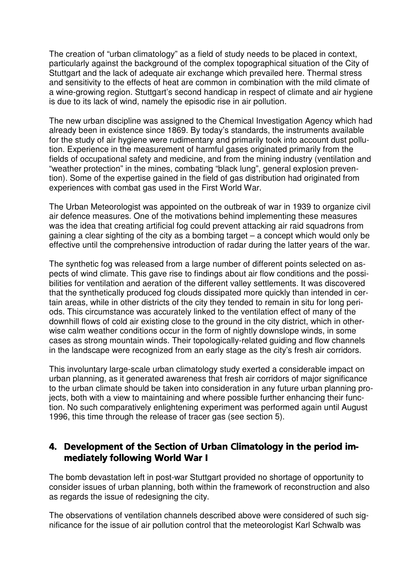The creation of "urban climatology" as a field of study needs to be placed in context, particularly against the background of the complex topographical situation of the City of Stuttgart and the lack of adequate air exchange which prevailed here. Thermal stress and sensitivity to the effects of heat are common in combination with the mild climate of a wine-growing region. Stuttgart's second handicap in respect of climate and air hygiene is due to its lack of wind, namely the episodic rise in air pollution.

The new urban discipline was assigned to the Chemical Investigation Agency which had already been in existence since 1869. By today's standards, the instruments available for the study of air hygiene were rudimentary and primarily took into account dust pollution. Experience in the measurement of harmful gases originated primarily from the fields of occupational safety and medicine, and from the mining industry (ventilation and "weather protection" in the mines, combating "black lung", general explosion prevention). Some of the expertise gained in the field of gas distribution had originated from experiences with combat gas used in the First World War.

The Urban Meteorologist was appointed on the outbreak of war in 1939 to organize civil air defence measures. One of the motivations behind implementing these measures was the idea that creating artificial fog could prevent attacking air raid squadrons from gaining a clear sighting of the city as a bombing target – a concept which would only be effective until the comprehensive introduction of radar during the latter years of the war.

The synthetic fog was released from a large number of different points selected on aspects of wind climate. This gave rise to findings about air flow conditions and the possibilities for ventilation and aeration of the different valley settlements. It was discovered that the synthetically produced fog clouds dissipated more quickly than intended in certain areas, while in other districts of the city they tended to remain in situ for long periods. This circumstance was accurately linked to the ventilation effect of many of the downhill flows of cold air existing close to the ground in the city district, which in otherwise calm weather conditions occur in the form of nightly downslope winds, in some cases as strong mountain winds. Their topologically-related guiding and flow channels in the landscape were recognized from an early stage as the city's fresh air corridors.

This involuntary large-scale urban climatology study exerted a considerable impact on urban planning, as it generated awareness that fresh air corridors of major significance to the urban climate should be taken into consideration in any future urban planning projects, both with a view to maintaining and where possible further enhancing their function. No such comparatively enlightening experiment was performed again until August 1996, this time through the release of tracer gas (see section 5).

#### 4. Development of the Section of Urban Climatology in the period immediately following World War I

The bomb devastation left in post-war Stuttgart provided no shortage of opportunity to consider issues of urban planning, both within the framework of reconstruction and also as regards the issue of redesigning the city.

The observations of ventilation channels described above were considered of such significance for the issue of air pollution control that the meteorologist Karl Schwalb was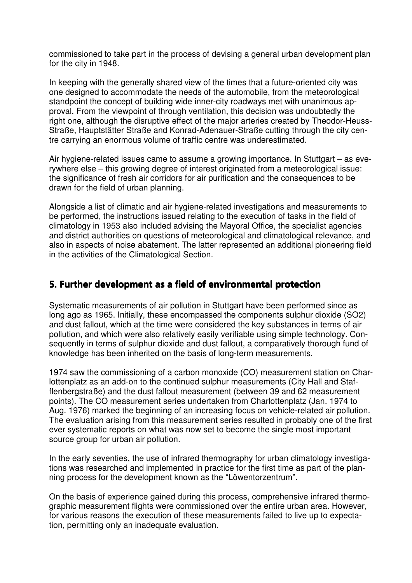commissioned to take part in the process of devising a general urban development plan for the city in 1948.

In keeping with the generally shared view of the times that a future-oriented city was one designed to accommodate the needs of the automobile, from the meteorological standpoint the concept of building wide inner-city roadways met with unanimous approval. From the viewpoint of through ventilation, this decision was undoubtedly the right one, although the disruptive effect of the major arteries created by Theodor-Heuss-Straße, Hauptstätter Straße and Konrad-Adenauer-Straße cutting through the city centre carrying an enormous volume of traffic centre was underestimated.

Air hygiene-related issues came to assume a growing importance. In Stuttgart – as everywhere else – this growing degree of interest originated from a meteorological issue: the significance of fresh air corridors for air purification and the consequences to be drawn for the field of urban planning.

Alongside a list of climatic and air hygiene-related investigations and measurements to be performed, the instructions issued relating to the execution of tasks in the field of climatology in 1953 also included advising the Mayoral Office, the specialist agencies and district authorities on questions of meteorological and climatological relevance, and also in aspects of noise abatement. The latter represented an additional pioneering field in the activities of the Climatological Section.

#### 5. Further development as a field of environmental protection

Systematic measurements of air pollution in Stuttgart have been performed since as long ago as 1965. Initially, these encompassed the components sulphur dioxide (SO2) and dust fallout, which at the time were considered the key substances in terms of air pollution, and which were also relatively easily verifiable using simple technology. Consequently in terms of sulphur dioxide and dust fallout, a comparatively thorough fund of knowledge has been inherited on the basis of long-term measurements.

1974 saw the commissioning of a carbon monoxide (CO) measurement station on Charlottenplatz as an add-on to the continued sulphur measurements (City Hall and Stafflenbergstraße) and the dust fallout measurement (between 39 and 62 measurement points). The CO measurement series undertaken from Charlottenplatz (Jan. 1974 to Aug. 1976) marked the beginning of an increasing focus on vehicle-related air pollution. The evaluation arising from this measurement series resulted in probably one of the first ever systematic reports on what was now set to become the single most important source group for urban air pollution.

In the early seventies, the use of infrared thermography for urban climatology investigations was researched and implemented in practice for the first time as part of the planning process for the development known as the "Löwentorzentrum".

On the basis of experience gained during this process, comprehensive infrared thermographic measurement flights were commissioned over the entire urban area. However, for various reasons the execution of these measurements failed to live up to expectation, permitting only an inadequate evaluation.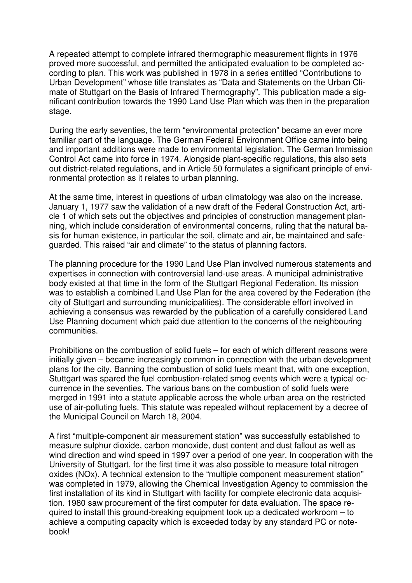A repeated attempt to complete infrared thermographic measurement flights in 1976 proved more successful, and permitted the anticipated evaluation to be completed according to plan. This work was published in 1978 in a series entitled "Contributions to Urban Development" whose title translates as "Data and Statements on the Urban Climate of Stuttgart on the Basis of Infrared Thermography". This publication made a significant contribution towards the 1990 Land Use Plan which was then in the preparation stage.

During the early seventies, the term "environmental protection" became an ever more familiar part of the language. The German Federal Environment Office came into being and important additions were made to environmental legislation. The German Immission Control Act came into force in 1974. Alongside plant-specific regulations, this also sets out district-related regulations, and in Article 50 formulates a significant principle of environmental protection as it relates to urban planning.

At the same time, interest in questions of urban climatology was also on the increase. January 1, 1977 saw the validation of a new draft of the Federal Construction Act, article 1 of which sets out the objectives and principles of construction management planning, which include consideration of environmental concerns, ruling that the natural basis for human existence, in particular the soil, climate and air, be maintained and safeguarded. This raised "air and climate" to the status of planning factors.

The planning procedure for the 1990 Land Use Plan involved numerous statements and expertises in connection with controversial land-use areas. A municipal administrative body existed at that time in the form of the Stuttgart Regional Federation. Its mission was to establish a combined Land Use Plan for the area covered by the Federation (the city of Stuttgart and surrounding municipalities). The considerable effort involved in achieving a consensus was rewarded by the publication of a carefully considered Land Use Planning document which paid due attention to the concerns of the neighbouring communities.

Prohibitions on the combustion of solid fuels – for each of which different reasons were initially given – became increasingly common in connection with the urban development plans for the city. Banning the combustion of solid fuels meant that, with one exception, Stuttgart was spared the fuel combustion-related smog events which were a typical occurrence in the seventies. The various bans on the combustion of solid fuels were merged in 1991 into a statute applicable across the whole urban area on the restricted use of air-polluting fuels. This statute was repealed without replacement by a decree of the Municipal Council on March 18, 2004.

A first "multiple-component air measurement station" was successfully established to measure sulphur dioxide, carbon monoxide, dust content and dust fallout as well as wind direction and wind speed in 1997 over a period of one year. In cooperation with the University of Stuttgart, for the first time it was also possible to measure total nitrogen oxides (NOx). A technical extension to the "multiple component measurement station" was completed in 1979, allowing the Chemical Investigation Agency to commission the first installation of its kind in Stuttgart with facility for complete electronic data acquisition. 1980 saw procurement of the first computer for data evaluation. The space required to install this ground-breaking equipment took up a dedicated workroom – to achieve a computing capacity which is exceeded today by any standard PC or notebook!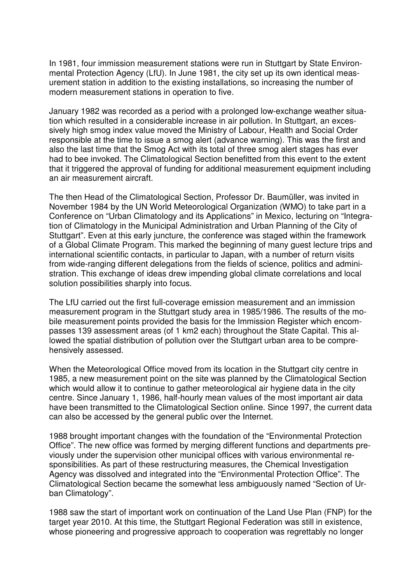In 1981, four immission measurement stations were run in Stuttgart by State Environmental Protection Agency (LfU). In June 1981, the city set up its own identical measurement station in addition to the existing installations, so increasing the number of modern measurement stations in operation to five.

January 1982 was recorded as a period with a prolonged low-exchange weather situation which resulted in a considerable increase in air pollution. In Stuttgart, an excessively high smog index value moved the Ministry of Labour, Health and Social Order responsible at the time to issue a smog alert (advance warning). This was the first and also the last time that the Smog Act with its total of three smog alert stages has ever had to bee invoked. The Climatological Section benefitted from this event to the extent that it triggered the approval of funding for additional measurement equipment including an air measurement aircraft.

The then Head of the Climatological Section, Professor Dr. Baumüller, was invited in November 1984 by the UN World Meteorological Organization (WMO) to take part in a Conference on "Urban Climatology and its Applications" in Mexico, lecturing on "Integration of Climatology in the Municipal Administration and Urban Planning of the City of Stuttgart". Even at this early juncture, the conference was staged within the framework of a Global Climate Program. This marked the beginning of many guest lecture trips and international scientific contacts, in particular to Japan, with a number of return visits from wide-ranging different delegations from the fields of science, politics and administration. This exchange of ideas drew impending global climate correlations and local solution possibilities sharply into focus.

The LfU carried out the first full-coverage emission measurement and an immission measurement program in the Stuttgart study area in 1985/1986. The results of the mobile measurement points provided the basis for the Immission Register which encompasses 139 assessment areas (of 1 km2 each) throughout the State Capital. This allowed the spatial distribution of pollution over the Stuttgart urban area to be comprehensively assessed.

When the Meteorological Office moved from its location in the Stuttgart city centre in 1985, a new measurement point on the site was planned by the Climatological Section which would allow it to continue to gather meteorological air hygiene data in the city centre. Since January 1, 1986, half-hourly mean values of the most important air data have been transmitted to the Climatological Section online. Since 1997, the current data can also be accessed by the general public over the Internet.

1988 brought important changes with the foundation of the "Environmental Protection Office". The new office was formed by merging different functions and departments previously under the supervision other municipal offices with various environmental responsibilities. As part of these restructuring measures, the Chemical Investigation Agency was dissolved and integrated into the "Environmental Protection Office". The Climatological Section became the somewhat less ambiguously named "Section of Urban Climatology".

1988 saw the start of important work on continuation of the Land Use Plan (FNP) for the target year 2010. At this time, the Stuttgart Regional Federation was still in existence, whose pioneering and progressive approach to cooperation was regrettably no longer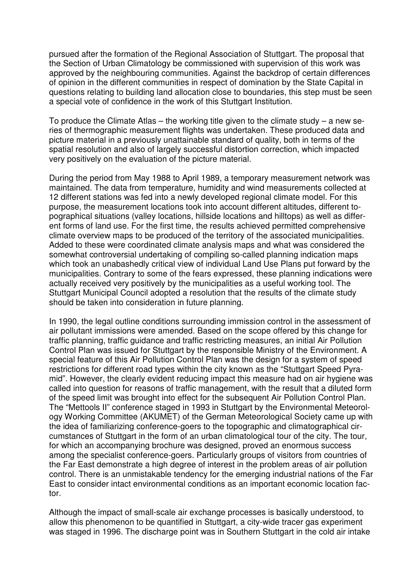pursued after the formation of the Regional Association of Stuttgart. The proposal that the Section of Urban Climatology be commissioned with supervision of this work was approved by the neighbouring communities. Against the backdrop of certain differences of opinion in the different communities in respect of domination by the State Capital in questions relating to building land allocation close to boundaries, this step must be seen a special vote of confidence in the work of this Stuttgart Institution.

To produce the Climate Atlas – the working title given to the climate study – a new series of thermographic measurement flights was undertaken. These produced data and picture material in a previously unattainable standard of quality, both in terms of the spatial resolution and also of largely successful distortion correction, which impacted very positively on the evaluation of the picture material.

During the period from May 1988 to April 1989, a temporary measurement network was maintained. The data from temperature, humidity and wind measurements collected at 12 different stations was fed into a newly developed regional climate model. For this purpose, the measurement locations took into account different altitudes, different topographical situations (valley locations, hillside locations and hilltops) as well as different forms of land use. For the first time, the results achieved permitted comprehensive climate overview maps to be produced of the territory of the associated municipalities. Added to these were coordinated climate analysis maps and what was considered the somewhat controversial undertaking of compiling so-called planning indication maps which took an unabashedly critical view of individual Land Use Plans put forward by the municipalities. Contrary to some of the fears expressed, these planning indications were actually received very positively by the municipalities as a useful working tool. The Stuttgart Municipal Council adopted a resolution that the results of the climate study should be taken into consideration in future planning.

In 1990, the legal outline conditions surrounding immission control in the assessment of air pollutant immissions were amended. Based on the scope offered by this change for traffic planning, traffic guidance and traffic restricting measures, an initial Air Pollution Control Plan was issued for Stuttgart by the responsible Ministry of the Environment. A special feature of this Air Pollution Control Plan was the design for a system of speed restrictions for different road types within the city known as the "Stuttgart Speed Pyramid". However, the clearly evident reducing impact this measure had on air hygiene was called into question for reasons of traffic management, with the result that a diluted form of the speed limit was brought into effect for the subsequent Air Pollution Control Plan. The "Mettools II" conference staged in 1993 in Stuttgart by the Environmental Meteorology Working Committee (AKUMET) of the German Meteorological Society came up with the idea of familiarizing conference-goers to the topographic and climatographical circumstances of Stuttgart in the form of an urban climatological tour of the city. The tour, for which an accompanying brochure was designed, proved an enormous success among the specialist conference-goers. Particularly groups of visitors from countries of the Far East demonstrate a high degree of interest in the problem areas of air pollution control. There is an unmistakable tendency for the emerging industrial nations of the Far East to consider intact environmental conditions as an important economic location factor.

Although the impact of small-scale air exchange processes is basically understood, to allow this phenomenon to be quantified in Stuttgart, a city-wide tracer gas experiment was staged in 1996. The discharge point was in Southern Stuttgart in the cold air intake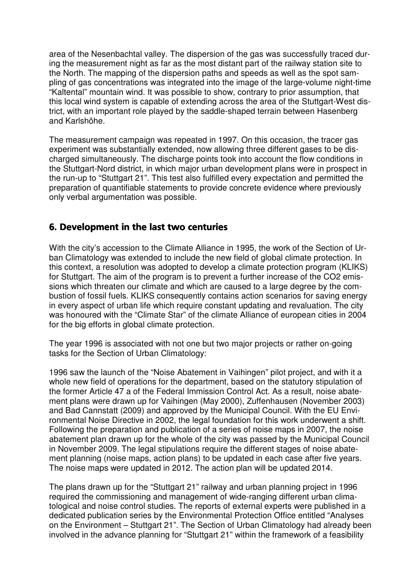area of the Nesenbachtal valley. The dispersion of the gas was successfully traced during the measurement night as far as the most distant part of the railway station site to the North. The mapping of the dispersion paths and speeds as well as the spot sampling of gas concentrations was integrated into the image of the large-volume night-time "Kaltental" mountain wind. It was possible to show, contrary to prior assumption, that this local wind system is capable of extending across the area of the Stuttgart-West district, with an important role played by the saddle-shaped terrain between Hasenberg and Karlshöhe.

The measurement campaign was repeated in 1997. On this occasion, the tracer gas experiment was substantially extended, now allowing three different gases to be discharged simultaneously. The discharge points took into account the flow conditions in the Stuttgart-Nord district, in which major urban development plans were in prospect in the run-up to "Stuttgart 21". This test also fulfilled every expectation and permitted the preparation of quantifiable statements to provide concrete evidence where previously only verbal argumentation was possible.

#### 6. Development in the last two centuries

With the city's accession to the Climate Alliance in 1995, the work of the Section of Urban Climatology was extended to include the new field of global climate protection. In this context, a resolution was adopted to develop a climate protection program (KLIKS) for Stuttgart. The aim of the program is to prevent a further increase of the CO2 emissions which threaten our climate and which are caused to a large degree by the combustion of fossil fuels. KLIKS consequently contains action scenarios for saving energy in every aspect of urban life which require constant updating and revaluation. The city was honoured with the "Climate Star" of the climate Alliance of european cities in 2004 for the big efforts in global climate protection.

The year 1996 is associated with not one but two major projects or rather on-going tasks for the Section of Urban Climatology:

1996 saw the launch of the "Noise Abatement in Vaihingen" pilot project, and with it a whole new field of operations for the department, based on the statutory stipulation of the former Article 47 a of the Federal Immission Control Act. As a result, noise abatement plans were drawn up for Vaihingen (May 2000), Zuffenhausen (November 2003) and Bad Cannstatt (2009) and approved by the Municipal Council. With the EU Environmental Noise Directive in 2002, the legal foundation for this work underwent a shift. Following the preparation and publication of a series of noise maps in 2007, the noise abatement plan drawn up for the whole of the city was passed by the Municipal Council in November 2009. The legal stipulations require the different stages of noise abatement planning (noise maps, action plans) to be updated in each case after five years. The noise maps were updated in 2012. The action plan will be updated 2014.

The plans drawn up for the "Stuttgart 21" railway and urban planning project in 1996 required the commissioning and management of wide-ranging different urban climatological and noise control studies. The reports of external experts were published in a dedicated publication series by the Environmental Protection Office entitled "Analyses on the Environment – Stuttgart 21". The Section of Urban Climatology had already been involved in the advance planning for "Stuttgart 21" within the framework of a feasibility